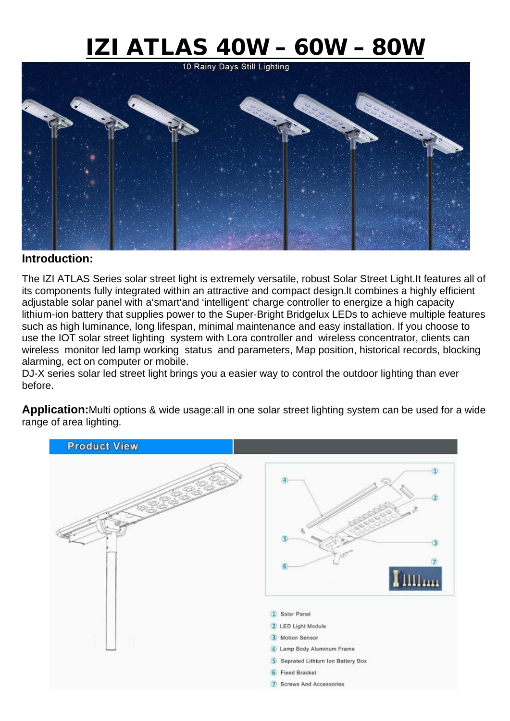# $IZI ATLAS 40W - 60W - 80W$ </u>



#### **Introduction:**

The IZI ATLAS Series solar street light is extremely versatile, robust Solar Street Light.It features all of its components fully integrated within an attractive and compact design.lt combines a highly efficient adjustable solar panel with a'smart'and 'intelligent' charge controller to energize a high capacity lithium-ion battery that supplies power to the Super-Bright Bridgelux LEDs to achieve multiple features such as high luminance, long lifespan, minimal maintenance and easy installation. If you choose to use the IOT solar street lighting system with Lora controller and wireless concentrator, clients can wireless monitor led lamp working status and parameters, Map position, historical records, blocking alarming, ect on computer or mobile.

DJ-X series solar led street light brings you a easier way to control the outdoor lighting than ever before.

**Application:**Multi options & wide usage:all in one solar street lighting system can be used for a wide range of area lighting.

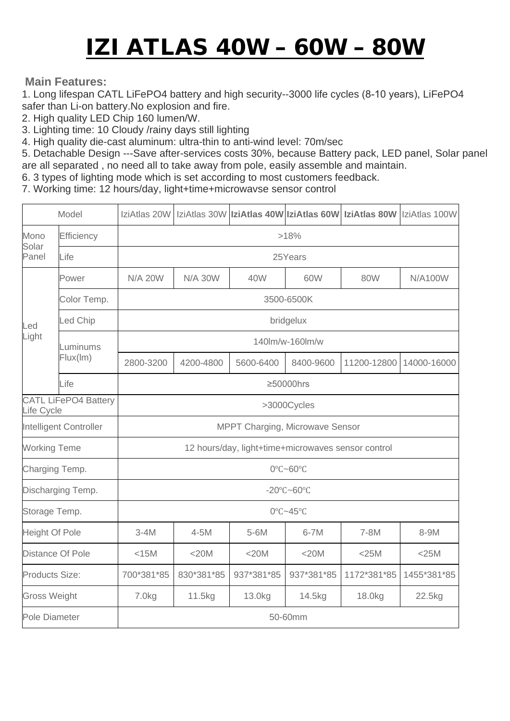## IZI ATLAS 40W – 60W – 80W

#### **Main Features:**

1. Long lifespan CATL LiFePO4 battery and high security--3000 life cycles (8-10 years), LiFePO4 safer than Li-on battery.No explosion and fire.

2. High quality LED Chip 160 lumen/W.

3. Lighting time: 10 Cloudy /rainy days still lighting

4. High quality die-cast aluminum: ultra-thin to anti-wind level: 70m/sec

5. Detachable Design ---Save after-services costs 30%, because Battery pack, LED panel, Solar panel are all separated , no need all to take away from pole, easily assemble and maintain.

6. 3 types of lighting mode which is set according to most customers feedback.

7. Working time: 12 hours/day, light+time+microwavse sensor control

| Model                                     |                      |                                                    |                |            |            |             | IziAtlas 20W   IziAtlas 30W   IziAtlas 40W   IziAtlas 60W   IziAtlas 80W   IziAtlas 100W |
|-------------------------------------------|----------------------|----------------------------------------------------|----------------|------------|------------|-------------|------------------------------------------------------------------------------------------|
| Mono<br>Solar<br>Panel                    | Efficiency           | >18%                                               |                |            |            |             |                                                                                          |
|                                           | Life                 | 25Years                                            |                |            |            |             |                                                                                          |
| Led<br>Light                              | Power                | <b>N/A 20W</b>                                     | <b>N/A 30W</b> | 40W        | 60W        | 80W         | <b>N/A100W</b>                                                                           |
|                                           | Color Temp.          | 3500-6500K                                         |                |            |            |             |                                                                                          |
|                                           | Led Chip             | bridgelux                                          |                |            |            |             |                                                                                          |
|                                           | Luminums<br>Flux(Im) | 140lm/w-160lm/w                                    |                |            |            |             |                                                                                          |
|                                           |                      | 2800-3200                                          | 4200-4800      | 5600-6400  | 8400-9600  | 11200-12800 | 14000-16000                                                                              |
|                                           | Life                 | ≥50000hrs                                          |                |            |            |             |                                                                                          |
| <b>CATL LiFePO4 Battery</b><br>Life Cycle |                      | >3000Cycles                                        |                |            |            |             |                                                                                          |
| Intelligent Controller                    |                      | MPPT Charging, Microwave Sensor                    |                |            |            |             |                                                                                          |
| <b>Working Teme</b>                       |                      | 12 hours/day, light+time+microwaves sensor control |                |            |            |             |                                                                                          |
| Charging Temp.                            |                      | 0°C~60°C                                           |                |            |            |             |                                                                                          |
| Discharging Temp.                         |                      | $-20^{\circ}$ C $-60^{\circ}$ C                    |                |            |            |             |                                                                                          |
| Storage Temp.                             |                      | 0°C~45°C                                           |                |            |            |             |                                                                                          |
| <b>Height Of Pole</b>                     |                      | $3-4M$                                             | $4 - 5M$       | 5-6M       | $6 - 7M$   | 7-8M        | 8-9M                                                                                     |
| Distance Of Pole                          |                      | $<$ 15 $M$                                         | <20M           | $<$ 20 $M$ | $<$ 20M    | $<$ 25M     | $<$ 25M                                                                                  |
| Products Size:                            |                      | 700*381*85                                         | 830*381*85     | 937*381*85 | 937*381*85 | 1172*381*85 | 1455*381*85                                                                              |
| <b>Gross Weight</b>                       |                      | 7.0 <sub>kg</sub>                                  | 11.5kg         | 13.0kg     | 14.5kg     | 18.0kg      | 22.5kg                                                                                   |
| Pole Diameter                             |                      | 50-60mm                                            |                |            |            |             |                                                                                          |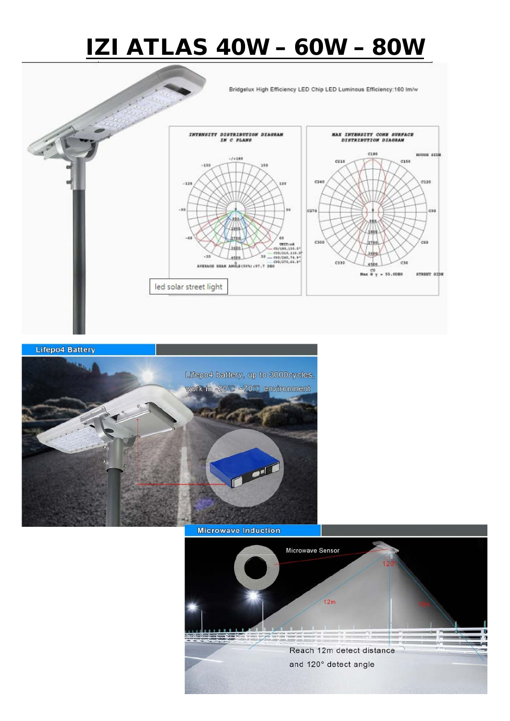### IZI ATLAS 40W – 60W – 80W

Bridgelux High Efficiency LED Chip LED Luminous Efficiency:160 Im/w